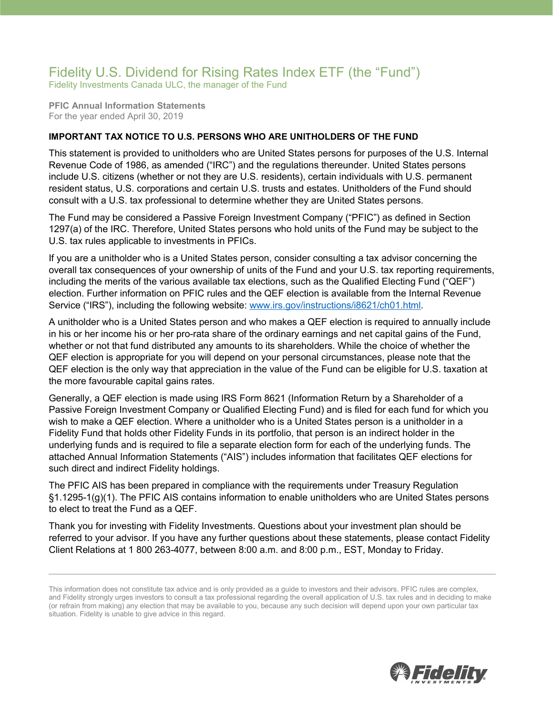## Fidelity U.S. Dividend for Rising Rates Index ETF (the "Fund")

Fidelity Investments Canada ULC, the manager of the Fund

**PFIC Annual Information Statements** For the year ended April 30, 2019

## **IMPORTANT TAX NOTICE TO U.S. PERSONS WHO ARE UNITHOLDERS OF THE FUND**

This statement is provided to unitholders who are United States persons for purposes of the U.S. Internal Revenue Code of 1986, as amended ("IRC") and the regulations thereunder. United States persons include U.S. citizens (whether or not they are U.S. residents), certain individuals with U.S. permanent resident status, U.S. corporations and certain U.S. trusts and estates. Unitholders of the Fund should consult with a U.S. tax professional to determine whether they are United States persons.

The Fund may be considered a Passive Foreign Investment Company ("PFIC") as defined in Section 1297(a) of the IRC. Therefore, United States persons who hold units of the Fund may be subject to the U.S. tax rules applicable to investments in PFICs.

If you are a unitholder who is a United States person, consider consulting a tax advisor concerning the overall tax consequences of your ownership of units of the Fund and your U.S. tax reporting requirements, including the merits of the various available tax elections, such as the Qualified Electing Fund ("QEF") election. Further information on PFIC rules and the QEF election is available from the Internal Revenue Service ("IRS"), including the following website: [www.irs.gov/instructions/i8621/ch01.html.](http://www.irs.gov/instructions/i8621/ch01.html)

A unitholder who is a United States person and who makes a QEF election is required to annually include in his or her income his or her pro-rata share of the ordinary earnings and net capital gains of the Fund, whether or not that fund distributed any amounts to its shareholders. While the choice of whether the QEF election is appropriate for you will depend on your personal circumstances, please note that the QEF election is the only way that appreciation in the value of the Fund can be eligible for U.S. taxation at the more favourable capital gains rates.

Generally, a QEF election is made using IRS Form 8621 (Information Return by a Shareholder of a Passive Foreign Investment Company or Qualified Electing Fund) and is filed for each fund for which you wish to make a QEF election. Where a unitholder who is a United States person is a unitholder in a Fidelity Fund that holds other Fidelity Funds in its portfolio, that person is an indirect holder in the underlying funds and is required to file a separate election form for each of the underlying funds. The attached Annual Information Statements ("AIS") includes information that facilitates QEF elections for such direct and indirect Fidelity holdings.

The PFIC AIS has been prepared in compliance with the requirements under Treasury Regulation §1.1295-1(g)(1). The PFIC AIS contains information to enable unitholders who are United States persons to elect to treat the Fund as a QEF.

Thank you for investing with Fidelity Investments. Questions about your investment plan should be referred to your advisor. If you have any further questions about these statements, please contact Fidelity Client Relations at 1 800 263-4077, between 8:00 a.m. and 8:00 p.m., EST, Monday to Friday.



This information does not constitute tax advice and is only provided as a guide to investors and their advisors. PFIC rules are complex, and Fidelity strongly urges investors to consult a tax professional regarding the overall application of U.S. tax rules and in deciding to make (or refrain from making) any election that may be available to you, because any such decision will depend upon your own particular tax situation. Fidelity is unable to give advice in this regard.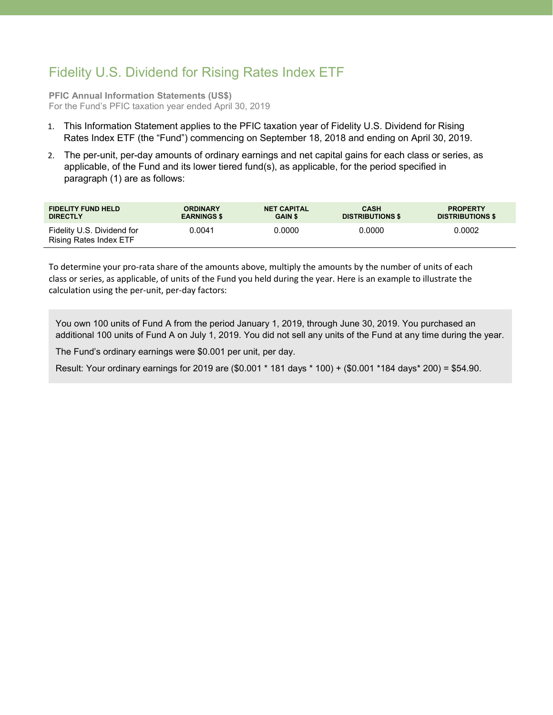## Fidelity U.S. Dividend for Rising Rates Index ETF

**PFIC Annual Information Statements (US\$)** For the Fund's PFIC taxation year ended April 30, 2019

- 1. This Information Statement applies to the PFIC taxation year of Fidelity U.S. Dividend for Rising Rates Index ETF (the "Fund") commencing on September 18, 2018 and ending on April 30, 2019.
- 2. The per-unit, per-day amounts of ordinary earnings and net capital gains for each class or series, as applicable, of the Fund and its lower tiered fund(s), as applicable, for the period specified in paragraph (1) are as follows:

| <b>FIDELITY FUND HELD</b>                            | <b>ORDINARY</b>    | <b>NET CAPITAL</b> | <b>CASH</b>             | <b>PROPERTY</b>         |
|------------------------------------------------------|--------------------|--------------------|-------------------------|-------------------------|
| <b>DIRECTLY</b>                                      | <b>EARNINGS \$</b> | <b>GAIN \$</b>     | <b>DISTRIBUTIONS \$</b> | <b>DISTRIBUTIONS \$</b> |
| Fidelity U.S. Dividend for<br>Rising Rates Index ETF | 0.0041             | 0.0000             | 0.0000                  | 0.0002                  |

To determine your pro-rata share of the amounts above, multiply the amounts by the number of units of each class or series, as applicable, of units of the Fund you held during the year. Here is an example to illustrate the calculation using the per-unit, per-day factors:

You own 100 units of Fund A from the period January 1, 2019, through June 30, 2019. You purchased an additional 100 units of Fund A on July 1, 2019. You did not sell any units of the Fund at any time during the year.

The Fund's ordinary earnings were \$0.001 per unit, per day.

Result: Your ordinary earnings for 2019 are (\$0.001 \* 181 days \* 100) + (\$0.001 \*184 days\* 200) = \$54.90.